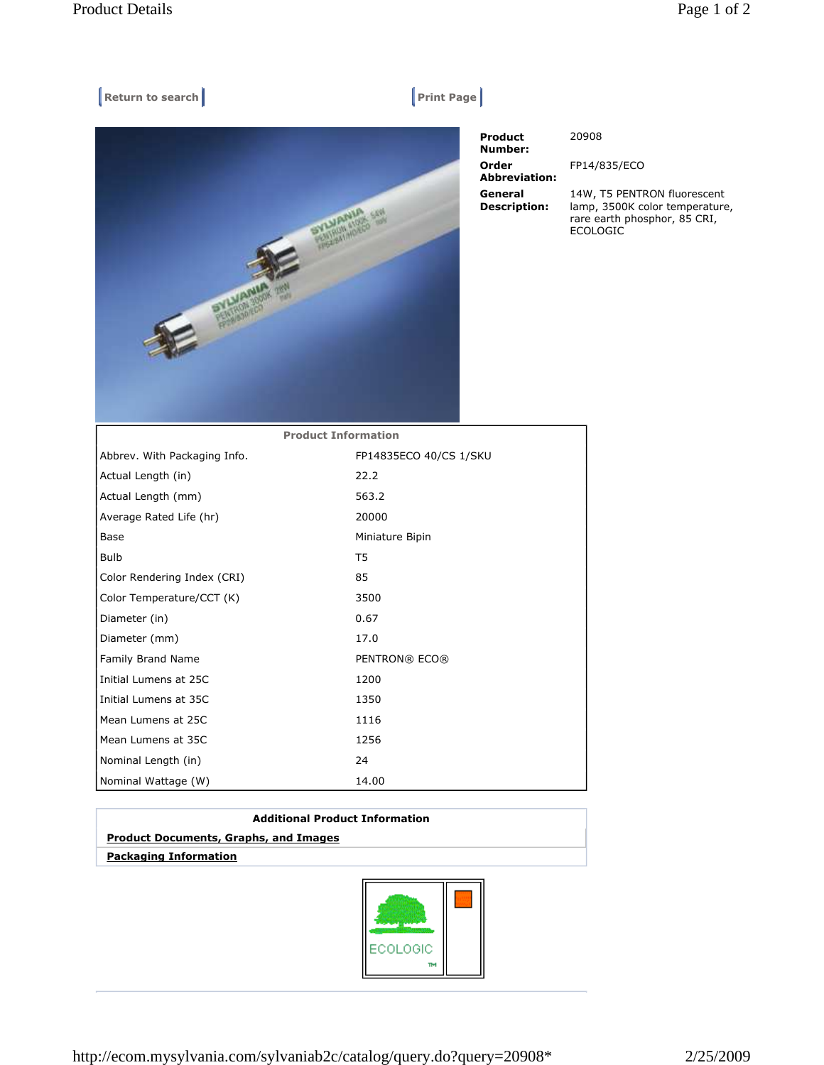## $[$  Return to search **Print Page**



 Product Number: 20908 Order Abbreviation: General Description:

FP14/835/ECO

14W, T5 PENTRON fluorescent lamp, 3500K color temperature, rare earth phosphor, 85 CRI, ECOLOGIC

| <b>Product Information</b>   |                        |
|------------------------------|------------------------|
| Abbrev. With Packaging Info. | FP14835ECO 40/CS 1/SKU |
| Actual Length (in)           | 22.2                   |
| Actual Length (mm)           | 563.2                  |
| Average Rated Life (hr)      | 20000                  |
| Base                         | Miniature Bipin        |
| <b>Bulb</b>                  | T5                     |
| Color Rendering Index (CRI)  | 85                     |
| Color Temperature/CCT (K)    | 3500                   |
| Diameter (in)                | 0.67                   |
| Diameter (mm)                | 17.0                   |
| Family Brand Name            | PENTRON® ECO®          |
| Initial Lumens at 25C        | 1200                   |
| Initial Lumens at 35C        | 1350                   |
| Mean Lumens at 25C           | 1116                   |
| Mean Lumens at 35C           | 1256                   |
| Nominal Length (in)          | 24                     |
| Nominal Wattage (W)          | 14.00                  |

| <b>Additional Product Information</b>        |  |
|----------------------------------------------|--|
| <b>Product Documents, Graphs, and Images</b> |  |
| <b>Packaging Information</b>                 |  |